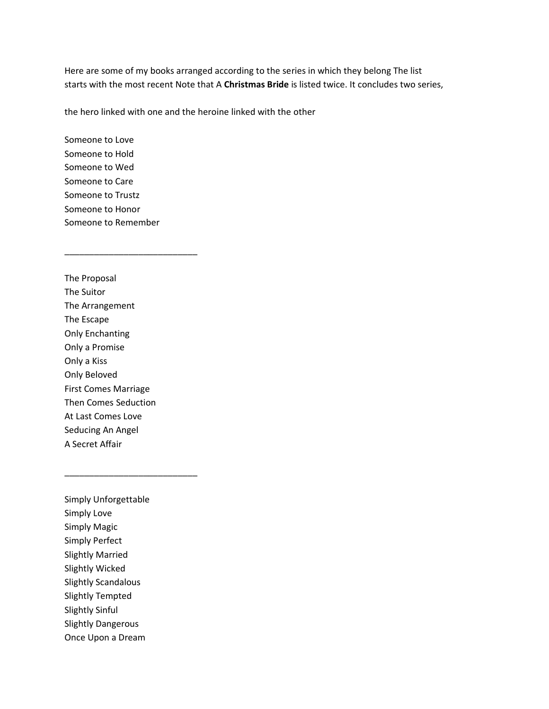Here are some of my books arranged according to the series in which they belong The list starts with the most recent Note that A **Christmas Bride** is listed twice. It concludes two series,

the hero linked with one and the heroine linked with the other

Someone to Love Someone to Hold Someone to Wed Someone to Care Someone to Trustz Someone to Honor Someone to Remember

\_\_\_\_\_\_\_\_\_\_\_\_\_\_\_\_\_\_\_\_\_\_\_\_\_\_\_

The Proposal The Suitor The Arrangement The Escape Only Enchanting Only a Promise Only a Kiss Only Beloved First Comes Marriage Then Comes Seduction At Last Comes Love Seducing An Angel A Secret Affair

Simply Unforgettable Simply Love Simply Magic Simply Perfect Slightly Married Slightly Wicked Slightly Scandalous Slightly Tempted Slightly Sinful Slightly Dangerous Once Upon a Dream

\_\_\_\_\_\_\_\_\_\_\_\_\_\_\_\_\_\_\_\_\_\_\_\_\_\_\_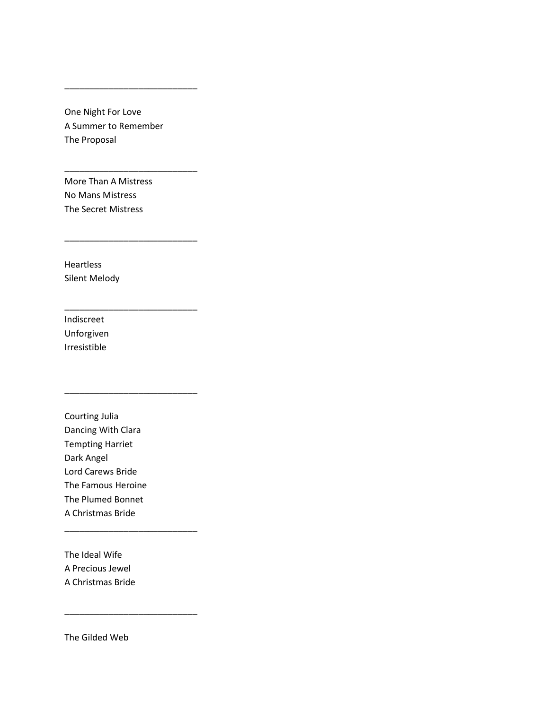One Night For Love A Summer to Remember The Proposal

\_\_\_\_\_\_\_\_\_\_\_\_\_\_\_\_\_\_\_\_\_\_\_\_\_\_\_

\_\_\_\_\_\_\_\_\_\_\_\_\_\_\_\_\_\_\_\_\_\_\_\_\_\_\_

\_\_\_\_\_\_\_\_\_\_\_\_\_\_\_\_\_\_\_\_\_\_\_\_\_\_\_

\_\_\_\_\_\_\_\_\_\_\_\_\_\_\_\_\_\_\_\_\_\_\_\_\_\_\_

\_\_\_\_\_\_\_\_\_\_\_\_\_\_\_\_\_\_\_\_\_\_\_\_\_\_\_

\_\_\_\_\_\_\_\_\_\_\_\_\_\_\_\_\_\_\_\_\_\_\_\_\_\_\_

\_\_\_\_\_\_\_\_\_\_\_\_\_\_\_\_\_\_\_\_\_\_\_\_\_\_\_

More Than A Mistress No Mans Mistress The Secret Mistress

Heartless Silent Melody

Indiscreet Unforgiven Irresistible

Courting Julia Dancing With Clara Tempting Harriet Dark Angel Lord Carews Bride The Famous Heroine The Plumed Bonnet A Christmas Bride

The Ideal Wife A Precious Jewel A Christmas Bride

The Gilded Web